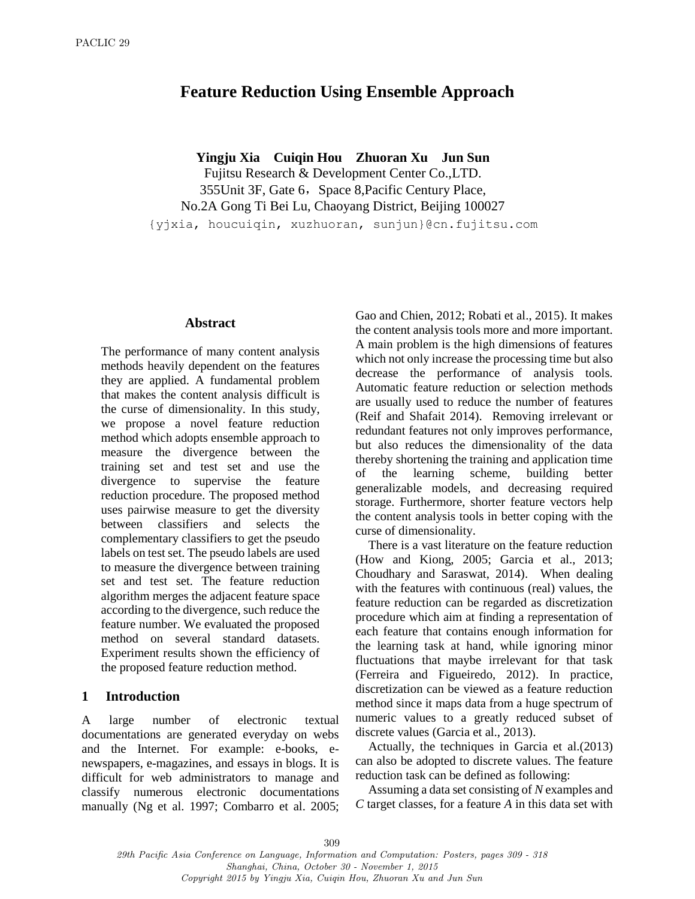# **Feature Reduction Using Ensemble Approach**

**Yingju Xia Cuiqin Hou Zhuoran Xu Jun Sun**

Fujitsu Research & Development Center Co.,LTD. 355Unit 3F, Gate 6, Space 8, Pacific Century Place, No.2A Gong Ti Bei Lu, Chaoyang District, Beijing 100027 {yjxia, houcuiqin, xuzhuoran, sunjun}@cn.fujitsu.com

#### **Abstract**

The performance of many content analysis methods heavily dependent on the features they are applied. A fundamental problem that makes the content analysis difficult is the curse of dimensionality. In this study, we propose a novel feature reduction method which adopts ensemble approach to measure the divergence between the training set and test set and use the divergence to supervise the feature reduction procedure. The proposed method uses pairwise measure to get the diversity between classifiers and selects the complementary classifiers to get the pseudo labels on test set. The pseudo labels are used to measure the divergence between training set and test set. The feature reduction algorithm merges the adjacent feature space according to the divergence, such reduce the feature number. We evaluated the proposed method on several standard datasets. Experiment results shown the efficiency of the proposed feature reduction method.

## **1 Introduction**

A large number of electronic textual documentations are generated everyday on webs and the Internet. For example: e-books, enewspapers, e-magazines, and essays in blogs. It is difficult for web administrators to manage and classify numerous electronic documentations manually (Ng et al. 1997; Combarro et al. 2005; Gao and Chien, 2012; Robati et al., 2015). It makes the content analysis tools more and more important. A main problem is the high dimensions of features which not only increase the processing time but also decrease the performance of analysis tools. Automatic feature reduction or selection methods are usually used to reduce the number of features (Reif and Shafait 2014). Removing irrelevant or redundant features not only improves performance, but also reduces the dimensionality of the data thereby shortening the training and application time of the learning scheme, building better generalizable models, and decreasing required storage. Furthermore, shorter feature vectors help the content analysis tools in better coping with the curse of dimensionality.

There is a vast literature on the feature reduction (How and Kiong, 2005; Garcia et al., 2013; Choudhary and Saraswat, 2014). When dealing with the features with continuous (real) values, the feature reduction can be regarded as discretization procedure which aim at finding a representation of each feature that contains enough information for the learning task at hand, while ignoring minor fluctuations that maybe irrelevant for that task (Ferreira and Figueiredo, 2012). In practice, discretization can be viewed as a feature reduction method since it maps data from a huge spectrum of numeric values to a greatly reduced subset of discrete values (Garcia et al., 2013).

Actually, the techniques in Garcia et al.(2013) can also be adopted to discrete values. The feature reduction task can be defined as following:

Assuming a data set consisting of *N* examples and *C* target classes, for a feature *A* in this data set with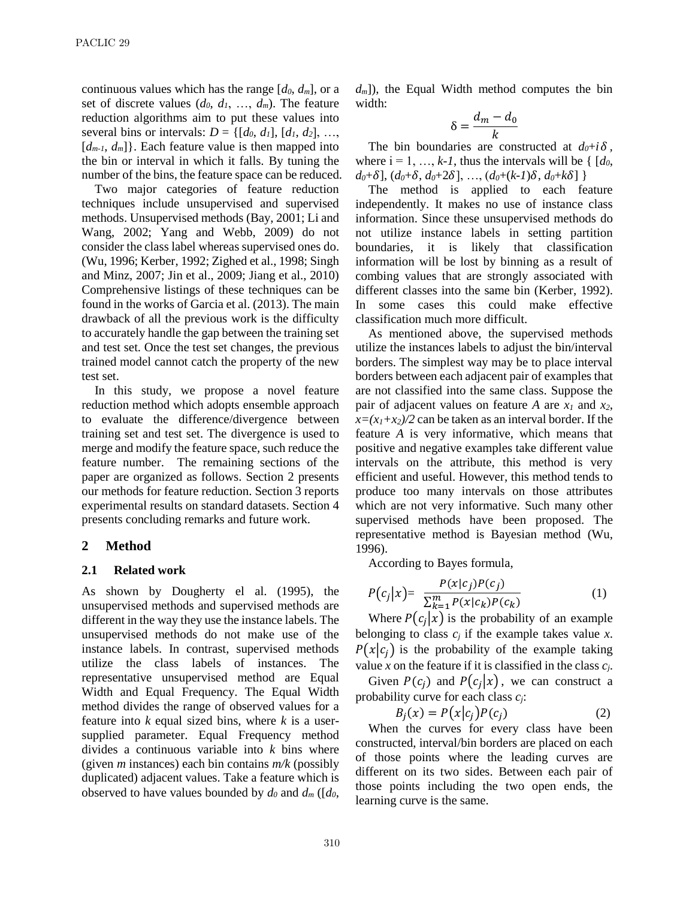continuous values which has the range  $[d_0, d_m]$ , or a set of discrete values  $(d_0, d_1, ..., d_m)$ . The feature reduction algorithms aim to put these values into several bins or intervals:  $D = \{[d_0, d_1], [d_1, d_2], \ldots,$  $[d_{m-1}, d_m]$ . Each feature value is then mapped into the bin or interval in which it falls. By tuning the number of the bins, the feature space can be reduced.

Two major categories of feature reduction techniques include unsupervised and supervised methods. Unsupervised methods (Bay, 2001; Li and Wang, 2002; Yang and Webb, 2009) do not consider the class label whereas supervised ones do. (Wu, 1996; Kerber, 1992; Zighed et al., 1998; Singh and Minz, 2007; Jin et al., 2009; Jiang et al., 2010) Comprehensive listings of these techniques can be found in the works of Garcia et al. (2013). The main drawback of all the previous work is the difficulty to accurately handle the gap between the training set and test set. Once the test set changes, the previous trained model cannot catch the property of the new test set.

In this study, we propose a novel feature reduction method which adopts ensemble approach to evaluate the difference/divergence between training set and test set. The divergence is used to merge and modify the feature space, such reduce the feature number. The remaining sections of the paper are organized as follows. Section 2 presents our methods for feature reduction. Section 3 reports experimental results on standard datasets. Section 4 presents concluding remarks and future work.

## **2 Method**

## **2.1 Related work**

As shown by Dougherty el al. (1995), the unsupervised methods and supervised methods are different in the way they use the instance labels. The unsupervised methods do not make use of the instance labels. In contrast, supervised methods utilize the class labels of instances. The representative unsupervised method are Equal Width and Equal Frequency. The Equal Width method divides the range of observed values for a feature into *k* equal sized bins, where *k* is a usersupplied parameter. Equal Frequency method divides a continuous variable into *k* bins where (given *m* instances) each bin contains *m/k* (possibly duplicated) adjacent values. Take a feature which is observed to have values bounded by  $d_0$  and  $d_m$  ([ $d_0$ ,

 $d_m$ ), the Equal Width method computes the bin width:

$$
\delta = \frac{d_m - d_0}{k}
$$

The bin boundaries are constructed at  $d_0 + i \delta$ , where  $i = 1, ..., k-1$ , thus the intervals will be {  $[d_0,$  $d_0 + \delta$ ,  $(d_0 + \delta, d_0 + 2\delta)$ , ...,  $(d_0 + (k-1)\delta, d_0 + k\delta)$ 

The method is applied to each feature independently. It makes no use of instance class information. Since these unsupervised methods do not utilize instance labels in setting partition boundaries, it is likely that classification information will be lost by binning as a result of combing values that are strongly associated with different classes into the same bin (Kerber, 1992). In some cases this could make effective classification much more difficult.

As mentioned above, the supervised methods utilize the instances labels to adjust the bin/interval borders. The simplest way may be to place interval borders between each adjacent pair of examples that are not classified into the same class. Suppose the pair of adjacent values on feature *A* are  $x_1$  and  $x_2$ ,  $x=(x_1+x_2)/2$  can be taken as an interval border. If the feature *A* is very informative, which means that positive and negative examples take different value intervals on the attribute, this method is very efficient and useful. However, this method tends to produce too many intervals on those attributes which are not very informative. Such many other supervised methods have been proposed. The representative method is Bayesian method (Wu, 1996).

According to Bayes formula,

$$
P(c_j|x) = \frac{P(x|c_j)P(c_j)}{\sum_{k=1}^{m} P(x|c_k)P(c_k)}
$$
(1)

Where  $P(c_j|x)$  is the probability of an example belonging to class  $c_j$  if the example takes value  $x$ .  $P(x|c_i)$  is the probability of the example taking value *x* on the feature if it is classified in the class *cj*.

Given  $P(c_j)$  and  $P(c_j|x)$ , we can construct a probability curve for each class *cj*:

$$
B_j(x) = P(x|c_j)P(c_j)
$$
 (2)

When the curves for every class have been constructed, interval/bin borders are placed on each of those points where the leading curves are different on its two sides. Between each pair of those points including the two open ends, the learning curve is the same.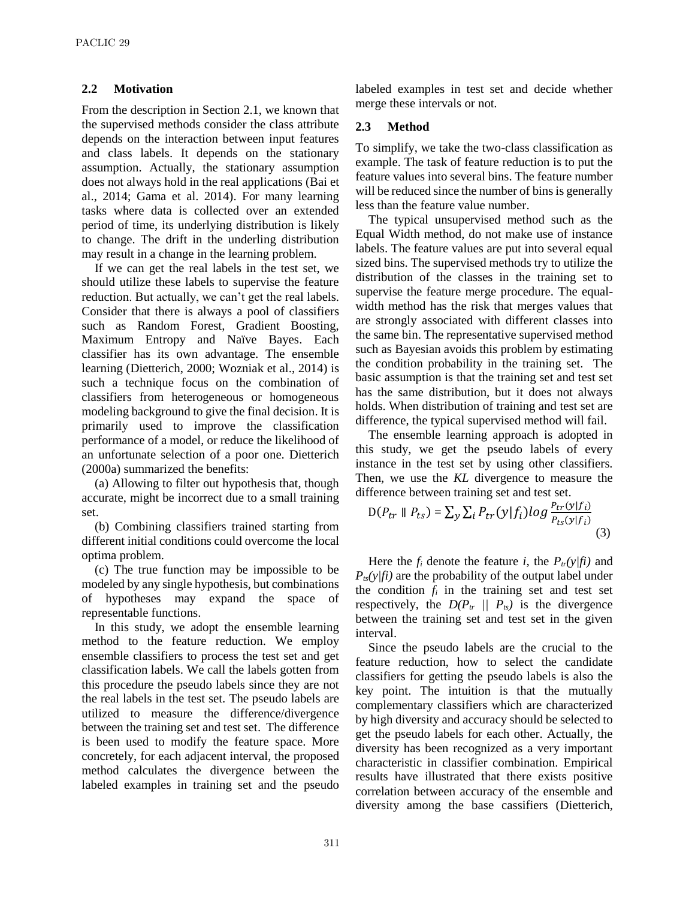#### **2.2 Motivation**

From the description in Section 2.1, we known that the supervised methods consider the class attribute depends on the interaction between input features and class labels. It depends on the stationary assumption. Actually, the stationary assumption does not always hold in the real applications (Bai et al., 2014; Gama et al. 2014). For many learning tasks where data is collected over an extended period of time, its underlying distribution is likely to change. The drift in the underling distribution may result in a change in the learning problem.

If we can get the real labels in the test set, we should utilize these labels to supervise the feature reduction. But actually, we can't get the real labels. Consider that there is always a pool of classifiers such as Random Forest, Gradient Boosting, Maximum Entropy and Naïve Bayes. Each classifier has its own advantage. The ensemble learning (Dietterich, 2000; Wozniak et al., 2014) is such a technique focus on the combination of classifiers from heterogeneous or homogeneous modeling background to give the final decision. It is primarily used to improve the classification performance of a model, or reduce the likelihood of an unfortunate selection of a poor one. Dietterich (2000a) summarized the benefits:

(a) Allowing to filter out hypothesis that, though accurate, might be incorrect due to a small training set.

(b) Combining classifiers trained starting from different initial conditions could overcome the local optima problem.

(c) The true function may be impossible to be modeled by any single hypothesis, but combinations of hypotheses may expand the space of representable functions.

In this study, we adopt the ensemble learning method to the feature reduction. We employ ensemble classifiers to process the test set and get classification labels. We call the labels gotten from this procedure the pseudo labels since they are not the real labels in the test set. The pseudo labels are utilized to measure the difference/divergence between the training set and test set. The difference is been used to modify the feature space. More concretely, for each adjacent interval, the proposed method calculates the divergence between the labeled examples in training set and the pseudo

labeled examples in test set and decide whether merge these intervals or not.

#### **2.3 Method**

To simplify, we take the two-class classification as example. The task of feature reduction is to put the feature values into several bins. The feature number will be reduced since the number of bins is generally less than the feature value number.

The typical unsupervised method such as the Equal Width method, do not make use of instance labels. The feature values are put into several equal sized bins. The supervised methods try to utilize the distribution of the classes in the training set to supervise the feature merge procedure. The equalwidth method has the risk that merges values that are strongly associated with different classes into the same bin. The representative supervised method such as Bayesian avoids this problem by estimating the condition probability in the training set. The basic assumption is that the training set and test set has the same distribution, but it does not always holds. When distribution of training and test set are difference, the typical supervised method will fail.

The ensemble learning approach is adopted in this study, we get the pseudo labels of every instance in the test set by using other classifiers. Then, we use the *KL* divergence to measure the difference between training set and test set.

$$
D(P_{tr} \parallel P_{ts}) = \sum_{y} \sum_{i} P_{tr}(y|f_i) \log \frac{P_{tr}(y|f_i)}{P_{ts}(y|f_i)}
$$
(3)

Here the  $f_i$  denote the feature *i*, the  $P_{tr}(y/fi)$  and  $P_{ts}(y/fi)$  are the probability of the output label under the condition  $f_i$  in the training set and test set respectively, the  $D(P_{tr} \parallel P_{ts})$  is the divergence between the training set and test set in the given interval.

Since the pseudo labels are the crucial to the feature reduction, how to select the candidate classifiers for getting the pseudo labels is also the key point. The intuition is that the mutually complementary classifiers which are characterized by high diversity and accuracy should be selected to get the pseudo labels for each other. Actually, the diversity has been recognized as a very important characteristic in classifier combination. Empirical results have illustrated that there exists positive correlation between accuracy of the ensemble and diversity among the base cassifiers (Dietterich,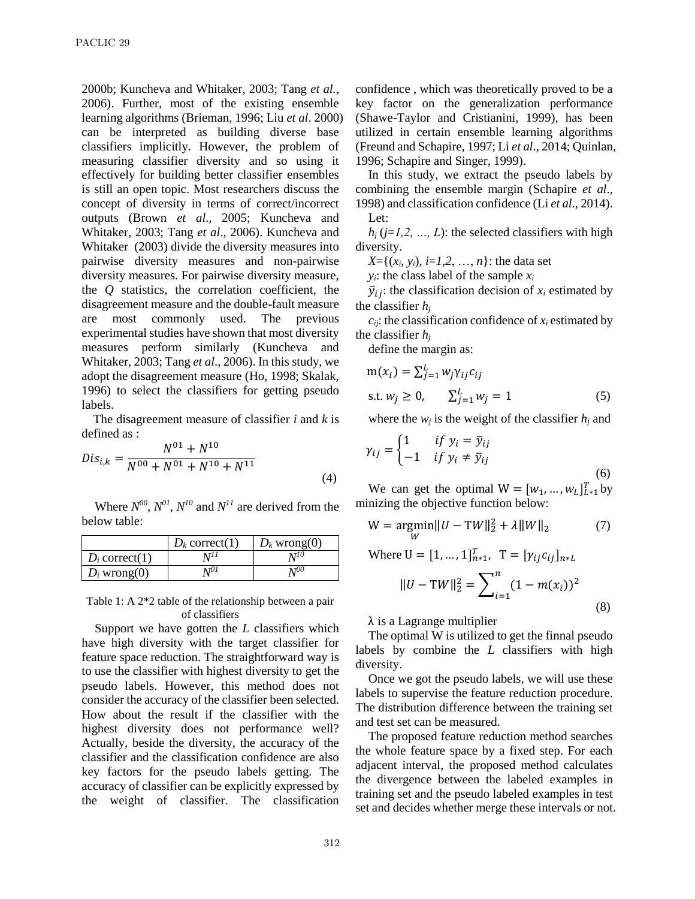2000b; Kuncheva and Whitaker, 2003; Tang *et al.*, 2006). Further, most of the existing ensemble learning algorithms (Brieman, 1996; Liu *et al*. 2000) can be interpreted as building diverse base classifiers implicitly. However, the problem of measuring classifier diversity and so using it effectively for building better classifier ensembles is still an open topic. Most researchers discuss the concept of diversity in terms of correct/incorrect outputs (Brown *et al*., 2005; Kuncheva and Whitaker, 2003; Tang *et al*., 2006). Kuncheva and Whitaker (2003) divide the diversity measures into pairwise diversity measures and non-pairwise diversity measures. For pairwise diversity measure, the *Q* statistics, the correlation coefficient, the disagreement measure and the double-fault measure are most commonly used. The previous experimental studies have shown that most diversity measures perform similarly (Kuncheva and Whitaker, 2003; Tang *et al*., 2006). In this study, we adopt the disagreement measure (Ho, 1998; Skalak, 1996) to select the classifiers for getting pseudo labels.

The disagreement measure of classifier *i* and *k* is defined as :

$$
Dis_{i,k} = \frac{N^{01} + N^{10}}{N^{00} + N^{01} + N^{10} + N^{11}}
$$
\n(4)

Where  $N^{00}$ ,  $N^{01}$ ,  $N^{10}$  and  $N^{11}$  are derived from the below table:

|                  | $D_k$ correct(1) | $D_k$ wrong(0) |
|------------------|------------------|----------------|
| $D_i$ correct(1) |                  | 1 TI U         |
| $D_i$ wrong(0)   | 70I              | n 700          |

Table 1: A 2\*2 table of the relationship between a pair of classifiers

Support we have gotten the *L* classifiers which have high diversity with the target classifier for feature space reduction. The straightforward way is to use the classifier with highest diversity to get the pseudo labels. However, this method does not consider the accuracy of the classifier been selected. How about the result if the classifier with the highest diversity does not performance well? Actually, beside the diversity, the accuracy of the classifier and the classification confidence are also key factors for the pseudo labels getting. The accuracy of classifier can be explicitly expressed by the weight of classifier. The classification confidence , which was theoretically proved to be a key factor on the generalization performance (Shawe-Taylor and Cristianini, 1999), has been utilized in certain ensemble learning algorithms (Freund and Schapire, 1997; Li *et al*., 2014; Quinlan, 1996; Schapire and Singer, 1999).

In this study, we extract the pseudo labels by combining the ensemble margin (Schapire *et al*., 1998) and classification confidence (Li *et al*., 2014). Let:

 $h_i$  ( $j=1,2, ..., L$ ): the selected classifiers with high diversity.

 $X = \{(x_i, y_i), i = 1, 2, ..., n\}$ : the data set

 $y_i$ : the class label of the sample  $x_i$ 

 $\bar{y}_{ij}$ : the classification decision of  $x_i$  estimated by the classifier *h<sup>j</sup>*

 $c_{ii}$ : the classification confidence of  $x_i$  estimated by the classifier *h<sup>j</sup>*

define the margin as:

$$
m(x_i) = \sum_{j=1}^{L} w_j \gamma_{ij} c_{ij}
$$
  
s.t.  $w_j \ge 0$ ,  $\sum_{j=1}^{L} w_j = 1$  (5)

where the  $w_i$  is the weight of the classifier  $h_i$  and

$$
\gamma_{ij} = \begin{cases} 1 & \text{if } y_i = \bar{y}_{ij} \\ -1 & \text{if } y_i \neq \bar{y}_{ij} \end{cases}
$$
(6)

We can get the optimal  $W = [w_1, ..., w_L]_{L*1}^T$  by minizing the objective function below:

$$
W = \underset{W}{\text{argmin}} \|U - TW\|_{2}^{2} + \lambda \|W\|_{2} \tag{7}
$$

Where 
$$
U = [1, ..., 1]_{n*1}^T
$$
,  $T = [\gamma_{ij} c_{ij}]_{n*L}$   
\n
$$
||U - TW||_2^2 = \sum_{i=1}^n (1 - m(x_i))^2
$$
\n(8)

 $\lambda$  is a Lagrange multiplier

The optimal W is utilized to get the finnal pseudo labels by combine the *L* classifiers with high diversity.

Once we got the pseudo labels, we will use these labels to supervise the feature reduction procedure. The distribution difference between the training set and test set can be measured.

The proposed feature reduction method searches the whole feature space by a fixed step. For each adjacent interval, the proposed method calculates the divergence between the labeled examples in training set and the pseudo labeled examples in test set and decides whether merge these intervals or not.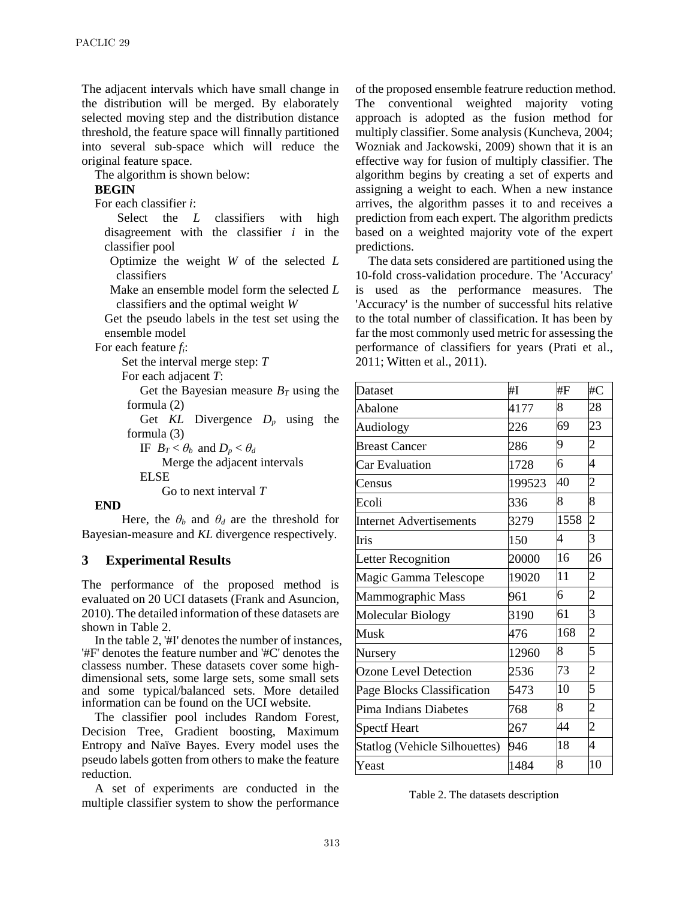The adjacent intervals which have small change in the distribution will be merged. By elaborately selected moving step and the distribution distance threshold, the feature space will finnally partitioned into several sub-space which will reduce the original feature space.

The algorithm is shown below:

#### **BEGIN**

For each classifier *i*:

Select the *L* classifiers with high disagreement with the classifier *i* in the classifier pool

Optimize the weight *W* of the selected *L* classifiers

Make an ensemble model form the selected *L* classifiers and the optimal weight *W*

Get the pseudo labels in the test set using the ensemble model

For each feature *fi*:

Set the interval merge step: *T*

For each adjacent *T*:

Get the Bayesian measure  $B_T$  using the formula (2)

Get  $KL$  Divergence  $D_p$  using the formula (3)

IF  $B_T < \theta_b$  and  $D_p < \theta_d$ 

Merge the adjacent intervals ELSE

Go to next interval *T*

#### **END**

Here, the  $\theta_b$  and  $\theta_d$  are the threshold for Bayesian-measure and *KL* divergence respectively.

## **3 Experimental Results**

The performance of the proposed method is evaluated on 20 UCI datasets (Frank and Asuncion, 2010). The detailed information of these datasets are shown in Table 2.

In the table 2, '#I' denotes the number of instances, '#F' denotes the feature number and '#C' denotes the classess number. These datasets cover some highdimensional sets, some large sets, some small sets and some typical/balanced sets. More detailed information can be found on the UCI website.

The classifier pool includes Random Forest, Decision Tree, Gradient boosting, Maximum Entropy and Naïve Bayes. Every model uses the pseudo labels gotten from others to make the feature reduction.

A set of experiments are conducted in the multiple classifier system to show the performance of the proposed ensemble featrure reduction method. The conventional weighted majority voting approach is adopted as the fusion method for multiply classifier. Some analysis (Kuncheva, 2004; Wozniak and Jackowski, 2009) shown that it is an effective way for fusion of multiply classifier. The algorithm begins by creating a set of experts and assigning a weight to each. When a new instance arrives, the algorithm passes it to and receives a prediction from each expert. The algorithm predicts based on a weighted majority vote of the expert predictions.

The data sets considered are partitioned using the 10-fold cross-validation procedure. The 'Accuracy' is used as the performance measures. The 'Accuracy' is the number of successful hits relative to the total number of classification. It has been by far the most commonly used metric for assessing the performance of classifiers for years (Prati et al., 2011; Witten et al., 2011).

| <b>Dataset</b>                       | #I     | #F   | #C             |
|--------------------------------------|--------|------|----------------|
| Abalone                              | 4177   | 8    | 28             |
| Audiology                            | 226    | 69   | 23             |
| <b>Breast Cancer</b>                 | 286    | 9    | $\overline{c}$ |
| <b>Car Evaluation</b>                | 1728   | 6    | 4              |
| Census                               | 199523 | 40   | $\overline{c}$ |
| Ecoli                                | 336    | 8    | 8              |
| <b>Internet Advertisements</b>       | 3279   | 1558 | $\overline{c}$ |
| Iris                                 | 150    | 4    | 3              |
| Letter Recognition                   | 20000  | 16   | 26             |
| Magic Gamma Telescope                | 19020  | 11   | $\overline{c}$ |
| Mammographic Mass                    | 961    | 6    | $\overline{c}$ |
| <b>Molecular Biology</b>             | 3190   | 61   | 3              |
| Musk                                 | 476    | 168  | $\overline{c}$ |
| Nursery                              | 12960  | 8    | 5              |
| <b>Ozone Level Detection</b>         | 2536   | 73   | $\overline{c}$ |
| Page Blocks Classification           | 5473   | 10   | 5              |
| Pima Indians Diabetes                | 768    | 8    | $\overline{c}$ |
| <b>Spectf Heart</b>                  | 267    | 44   | $\overline{c}$ |
| <b>Statlog (Vehicle Silhouettes)</b> | 946    | 18   | 4              |
| Yeast                                | 1484   | 8    | 10             |

Table 2. The datasets description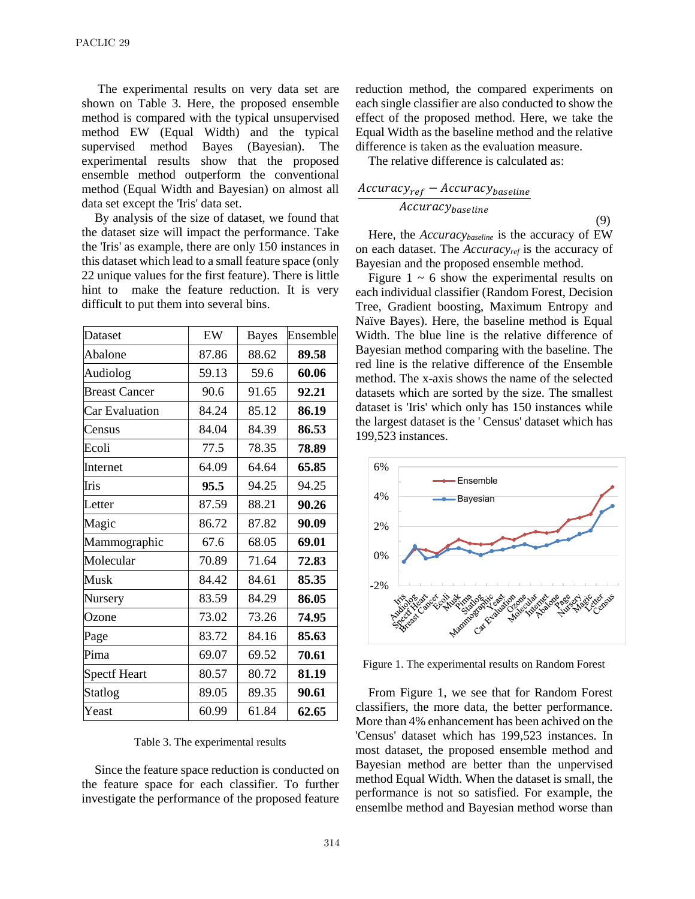The experimental results on very data set are shown on Table 3. Here, the proposed ensemble method is compared with the typical unsupervised method EW (Equal Width) and the typical supervised method Bayes (Bayesian). The experimental results show that the proposed ensemble method outperform the conventional method (Equal Width and Bayesian) on almost all data set except the 'Iris' data set.

By analysis of the size of dataset, we found that the dataset size will impact the performance. Take the 'Iris' as example, there are only 150 instances in this dataset which lead to a small feature space (only 22 unique values for the first feature). There is little hint to make the feature reduction. It is very difficult to put them into several bins.

| Dataset              | EW    | <b>Bayes</b> | Ensemble |
|----------------------|-------|--------------|----------|
| Abalone              | 87.86 | 88.62        | 89.58    |
| Audiolog             | 59.13 | 59.6         | 60.06    |
| <b>Breast Cancer</b> | 90.6  | 91.65        | 92.21    |
| Car Evaluation       | 84.24 | 85.12        | 86.19    |
| Census               | 84.04 | 84.39        | 86.53    |
| Ecoli                | 77.5  | 78.35        | 78.89    |
| Internet             | 64.09 | 64.64        | 65.85    |
| Iris                 | 95.5  | 94.25        | 94.25    |
| Letter               | 87.59 | 88.21        | 90.26    |
| Magic                | 86.72 | 87.82        | 90.09    |
| Mammographic         | 67.6  | 68.05        | 69.01    |
| Molecular            | 70.89 | 71.64        | 72.83    |
| Musk                 | 84.42 | 84.61        | 85.35    |
| Nursery              | 83.59 | 84.29        | 86.05    |
| Ozone                | 73.02 | 73.26        | 74.95    |
| Page                 | 83.72 | 84.16        | 85.63    |
| Pima                 | 69.07 | 69.52        | 70.61    |
| <b>Spectf Heart</b>  | 80.57 | 80.72        | 81.19    |
| Statlog              | 89.05 | 89.35        | 90.61    |
| Yeast                | 60.99 | 61.84        | 62.65    |

Table 3. The experimental results

Since the feature space reduction is conducted on the feature space for each classifier. To further investigate the performance of the proposed feature reduction method, the compared experiments on each single classifier are also conducted to show the effect of the proposed method. Here, we take the Equal Width as the baseline method and the relative difference is taken as the evaluation measure.

The relative difference is calculated as:

$$
\frac{Accuracy_{ref} - Accuracy_{baseline}}{Accuracy_{baseline}}
$$
\n(9)

Here, the *Accuracybaseline* is the accuracy of EW on each dataset. The *Accuracyref* is the accuracy of Bayesian and the proposed ensemble method.

Figure  $1 \sim 6$  show the experimental results on each individual classifier (Random Forest, Decision Tree, Gradient boosting, Maximum Entropy and Naïve Bayes). Here, the baseline method is Equal Width. The blue line is the relative difference of Bayesian method comparing with the baseline. The red line is the relative difference of the Ensemble method. The x-axis shows the name of the selected datasets which are sorted by the size. The smallest dataset is 'Iris' which only has 150 instances while the largest dataset is the ' Census' dataset which has 199,523 instances.



Figure 1. The experimental results on Random Forest

From Figure 1, we see that for Random Forest classifiers, the more data, the better performance. More than 4% enhancement has been achived on the 'Census' dataset which has 199,523 instances. In most dataset, the proposed ensemble method and Bayesian method are better than the unpervised method Equal Width. When the dataset is small, the performance is not so satisfied. For example, the ensemlbe method and Bayesian method worse than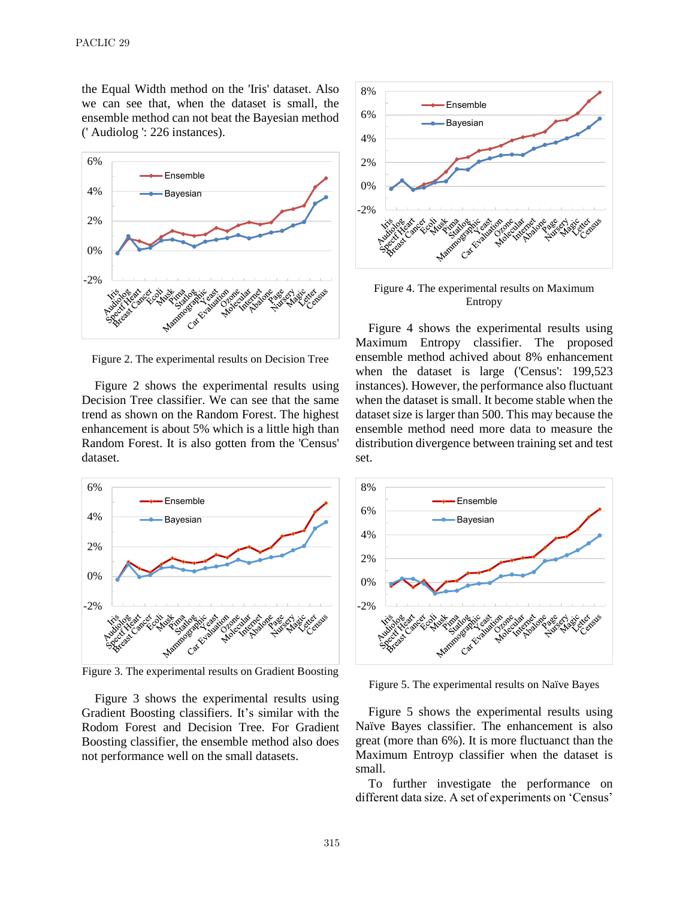the Equal Width method on the 'Iris' dataset. Also we can see that, when the dataset is small, the ensemble method can not beat the Bayesian method (' Audiolog ': 226 instances).



Figure 2. The experimental results on Decision Tree

Figure 2 shows the experimental results using Decision Tree classifier. We can see that the same trend as shown on the Random Forest. The highest enhancement is about 5% which is a little high than Random Forest. It is also gotten from the 'Census' dataset.



Figure 3. The experimental results on Gradient Boosting

Figure 3 shows the experimental results using Gradient Boosting classifiers. It's similar with the Rodom Forest and Decision Tree. For Gradient Boosting classifier, the ensemble method also does not performance well on the small datasets.



Figure 4. The experimental results on Maximum Entropy

Figure 4 shows the experimental results using Maximum Entropy classifier. The proposed ensemble method achived about 8% enhancement when the dataset is large ('Census': 199,523 instances). However, the performance also fluctuant when the dataset is small. It become stable when the dataset size is larger than 500. This may because the ensemble method need more data to measure the distribution divergence between training set and test set.



Figure 5. The experimental results on Na  $\ddot{v}$ e Bayes

Figure 5 shows the experimental results using Naïve Bayes classifier. The enhancement is also great (more than 6%). It is more fluctuanct than the Maximum Entroyp classifier when the dataset is small.

To further investigate the performance on different data size. A set of experiments on 'Census'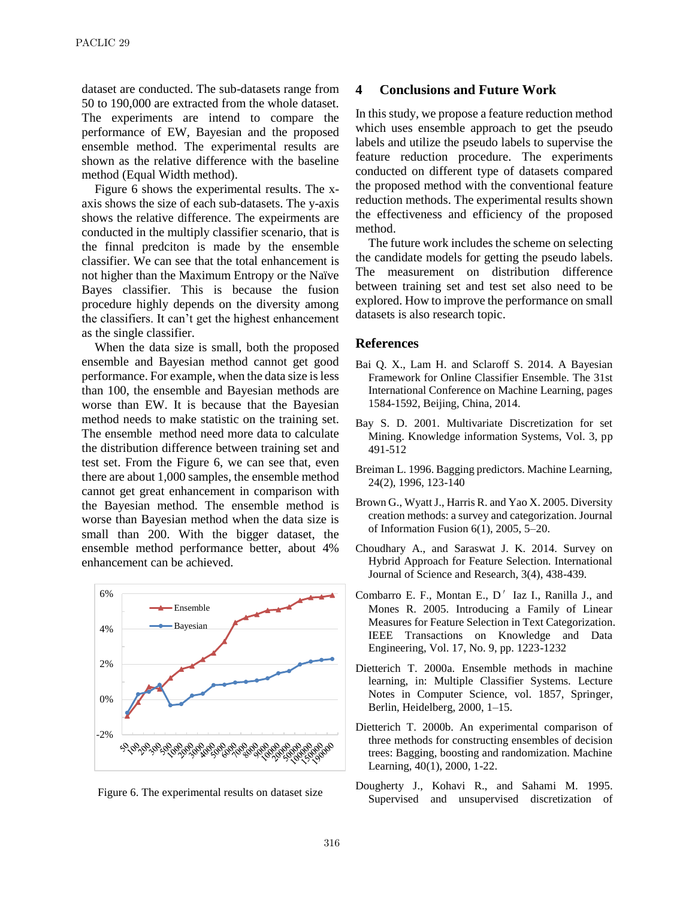dataset are conducted. The sub-datasets range from 50 to 190,000 are extracted from the whole dataset. The experiments are intend to compare the performance of EW, Bayesian and the proposed ensemble method. The experimental results are shown as the relative difference with the baseline method (Equal Width method).

Figure 6 shows the experimental results. The xaxis shows the size of each sub-datasets. The y-axis shows the relative difference. The expeirments are conducted in the multiply classifier scenario, that is the finnal predciton is made by the ensemble classifier. We can see that the total enhancement is not higher than the Maximum Entropy or the Naïve Bayes classifier. This is because the fusion procedure highly depends on the diversity among the classifiers. It can't get the highest enhancement as the single classifier.

When the data size is small, both the proposed ensemble and Bayesian method cannot get good performance. For example, when the data size is less than 100, the ensemble and Bayesian methods are worse than EW. It is because that the Bayesian method needs to make statistic on the training set. The ensemble method need more data to calculate the distribution difference between training set and test set. From the Figure 6, we can see that, even there are about 1,000 samples, the ensemble method cannot get great enhancement in comparison with the Bayesian method. The ensemble method is worse than Bayesian method when the data size is small than 200. With the bigger dataset, the ensemble method performance better, about 4% enhancement can be achieved.





### **4 Conclusions and Future Work**

In this study, we propose a feature reduction method which uses ensemble approach to get the pseudo labels and utilize the pseudo labels to supervise the feature reduction procedure. The experiments conducted on different type of datasets compared the proposed method with the conventional feature reduction methods. The experimental results shown the effectiveness and efficiency of the proposed method.

The future work includes the scheme on selecting the candidate models for getting the pseudo labels. The measurement on distribution difference between training set and test set also need to be explored. How to improve the performance on small datasets is also research topic.

#### **References**

- Bai Q. X., Lam H. and Sclaroff S. 2014. A Bayesian Framework for Online Classifier Ensemble. The 31st International Conference on Machine Learning, pages 1584-1592, Beijing, China, 2014.
- Bay S. D. 2001. Multivariate Discretization for set Mining. Knowledge information Systems, Vol. 3, pp 491-512
- Breiman L. 1996. Bagging predictors. Machine Learning, 24(2), 1996, 123-140
- Brown G., Wyatt J., Harris R. and Yao X. 2005. Diversity creation methods: a survey and categorization. Journal of Information Fusion 6(1), 2005, 5–20.
- Choudhary A., and Saraswat J. K. 2014. Survey on Hybrid Approach for Feature Selection. International Journal of Science and Research, 3(4), 438-439.
- Combarro E. F., Montan E.,  $D'$  Iaz I., Ranilla J., and Mones R. 2005. Introducing a Family of Linear Measures for Feature Selection in Text Categorization. IEEE Transactions on Knowledge and Data Engineering, Vol. 17, No. 9, pp. 1223-1232
- Dietterich T. 2000a. Ensemble methods in machine learning, in: Multiple Classifier Systems. Lecture Notes in Computer Science, vol. 1857, Springer, Berlin, Heidelberg, 2000, 1–15.
- Dietterich T. 2000b. An experimental comparison of three methods for constructing ensembles of decision trees: Bagging, boosting and randomization. Machine Learning, 40(1), 2000, 1-22.
- Dougherty J., Kohavi R., and Sahami M. 1995. Supervised and unsupervised discretization of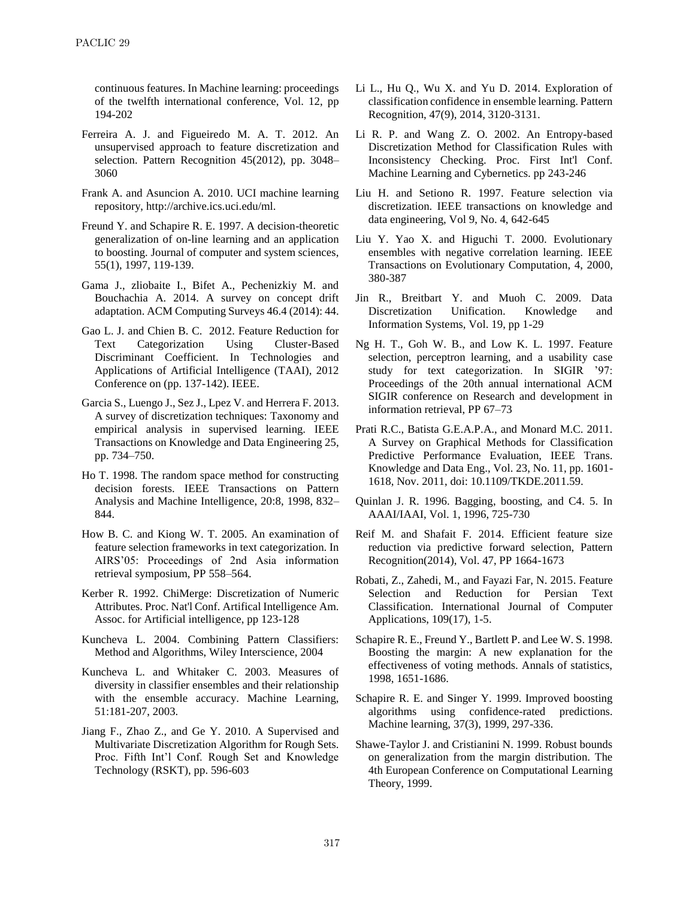continuous features. In Machine learning: proceedings of the twelfth international conference, Vol. 12, pp 194-202

- Ferreira A. J. and Figueiredo M. A. T. 2012. An unsupervised approach to feature discretization and selection. Pattern Recognition 45(2012), pp. 3048– 3060
- Frank A. and Asuncion A. 2010. UCI machine learning repository, http://archive.ics.uci.edu/ml.
- Freund Y. and Schapire R. E. 1997. A decision-theoretic generalization of on-line learning and an application to boosting. Journal of computer and system sciences, 55(1), 1997, 119-139.
- Gama J., zliobaite I., Bifet A., Pechenizkiy M. and Bouchachia A. 2014. A survey on concept drift adaptation. ACM Computing Surveys 46.4 (2014): 44.
- Gao L. J. and Chien B. C. 2012. Feature Reduction for Text Categorization Using Cluster-Based Discriminant Coefficient. In Technologies and Applications of Artificial Intelligence (TAAI), 2012 Conference on (pp. 137-142). IEEE.
- Garcia S., Luengo J., Sez J., Lpez V. and Herrera F. 2013. A survey of discretization techniques: Taxonomy and empirical analysis in supervised learning. IEEE Transactions on Knowledge and Data Engineering 25, pp. 734–750.
- Ho T. 1998. The random space method for constructing decision forests. IEEE Transactions on Pattern Analysis and Machine Intelligence, 20:8, 1998, 832– 844.
- How B. C. and Kiong W. T. 2005. An examination of feature selection frameworks in text categorization. In AIRS'05: Proceedings of 2nd Asia information retrieval symposium, PP 558–564.
- Kerber R. 1992. ChiMerge: Discretization of Numeric Attributes. Proc. Nat'l Conf. Artifical Intelligence Am. Assoc. for Artificial intelligence, pp 123-128
- Kuncheva L. 2004. Combining Pattern Classifiers: Method and Algorithms, Wiley Interscience, 2004
- Kuncheva L. and Whitaker C. 2003. Measures of diversity in classifier ensembles and their relationship with the ensemble accuracy. Machine Learning, 51:181-207, 2003.
- Jiang F., Zhao Z., and Ge Y. 2010. A Supervised and Multivariate Discretization Algorithm for Rough Sets. Proc. Fifth Int'l Conf. Rough Set and Knowledge Technology (RSKT), pp. 596-603
- Li L., Hu Q., Wu X. and Yu D. 2014. Exploration of classification confidence in ensemble learning. Pattern Recognition, 47(9), 2014, 3120-3131.
- Li R. P. and Wang Z. O. 2002. An Entropy-based Discretization Method for Classification Rules with Inconsistency Checking. Proc. First Int'l Conf. Machine Learning and Cybernetics. pp 243-246
- Liu H. and Setiono R. 1997. Feature selection via discretization. IEEE transactions on knowledge and data engineering, Vol 9, No. 4, 642-645
- Liu Y. Yao X. and Higuchi T. 2000. Evolutionary ensembles with negative correlation learning. IEEE Transactions on Evolutionary Computation, 4, 2000, 380-387
- Jin R., Breitbart Y. and Muoh C. 2009. Data Discretization Unification. Knowledge and Information Systems, Vol. 19, pp 1-29
- Ng H. T., Goh W. B., and Low K. L. 1997. Feature selection, perceptron learning, and a usability case study for text categorization. In SIGIR '97: Proceedings of the 20th annual international ACM SIGIR conference on Research and development in information retrieval, PP 67–73
- Prati R.C., Batista G.E.A.P.A., and Monard M.C. 2011. A Survey on Graphical Methods for Classification Predictive Performance Evaluation, IEEE Trans. Knowledge and Data Eng., Vol. 23, No. 11, pp. 1601- 1618, Nov. 2011, doi: 10.1109/TKDE.2011.59.
- Quinlan J. R. 1996. Bagging, boosting, and C4. 5. In AAAI/IAAI, Vol. 1, 1996, 725-730
- Reif M. and Shafait F. 2014. Efficient feature size reduction via predictive forward selection, Pattern Recognition(2014), Vol. 47, PP 1664-1673
- Robati, Z., Zahedi, M., and Fayazi Far, N. 2015. Feature Selection and Reduction for Persian Text Classification. International Journal of Computer Applications, 109(17), 1-5.
- Schapire R. E., Freund Y., Bartlett P. and Lee W. S. 1998. Boosting the margin: A new explanation for the effectiveness of voting methods. Annals of statistics, 1998, 1651-1686.
- Schapire R. E. and Singer Y. 1999. Improved boosting algorithms using confidence-rated predictions. Machine learning, 37(3), 1999, 297-336.
- Shawe-Taylor J. and Cristianini N. 1999. Robust bounds on generalization from the margin distribution. The 4th European Conference on Computational Learning Theory, 1999.